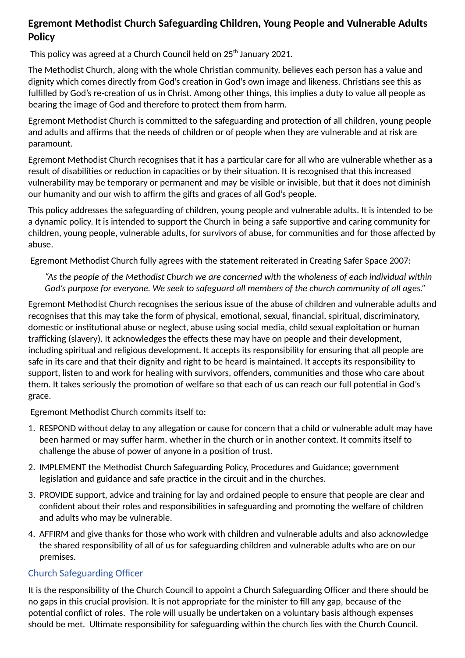# **Egremont Methodist Church Safeguarding Children, Young People and Vulnerable Adults Policy**

This policy was agreed at a Church Council held on 25<sup>th</sup> January 2021.

The Methodist Church, along with the whole Christian community, believes each person has a value and dignity which comes directly from God's creation in God's own image and likeness. Christians see this as fulfilled by God's re-creation of us in Christ. Among other things, this implies a duty to value all people as bearing the image of God and therefore to protect them from harm.

Egremont Methodist Church is committed to the safeguarding and protection of all children, young people and adults and affirms that the needs of children or of people when they are vulnerable and at risk are paramount.

Egremont Methodist Church recognises that it has a particular care for all who are vulnerable whether as a result of disabilities or reduction in capacities or by their situation. It is recognised that this increased vulnerability may be temporary or permanent and may be visible or invisible, but that it does not diminish our humanity and our wish to affirm the gifts and graces of all God's people.

This policy addresses the safeguarding of children, young people and vulnerable adults. It is intended to be a dynamic policy. It is intended to support the Church in being a safe supportive and caring community for children, young people, vulnerable adults, for survivors of abuse, for communities and for those affected by abuse.

Egremont Methodist Church fully agrees with the statement reiterated in Creating Safer Space 2007:

*"As the people of the Methodist Church we are concerned with the wholeness of each individual within God's purpose for everyone. We seek to safeguard all members of the church community of all ages."*

Egremont Methodist Church recognises the serious issue of the abuse of children and vulnerable adults and recognises that this may take the form of physical, emotional, sexual, financial, spiritual, discriminatory, domestic or institutional abuse or neglect, abuse using social media, child sexual exploitation or human trafficking (slavery). It acknowledges the effects these may have on people and their development, including spiritual and religious development. It accepts its responsibility for ensuring that all people are safe in its care and that their dignity and right to be heard is maintained. It accepts its responsibility to support, listen to and work for healing with survivors, offenders, communities and those who care about them. It takes seriously the promotion of welfare so that each of us can reach our full potential in God's grace.

Egremont Methodist Church commits itself to:

- 1. RESPOND without delay to any allegation or cause for concern that a child or vulnerable adult may have been harmed or may suffer harm, whether in the church or in another context. It commits itself to challenge the abuse of power of anyone in a position of trust.
- 2. IMPLEMENT the Methodist Church Safeguarding Policy, Procedures and Guidance; government legislation and guidance and safe practice in the circuit and in the churches.
- 3. PROVIDE support, advice and training for lay and ordained people to ensure that people are clear and confident about their roles and responsibilities in safeguarding and promoting the welfare of children and adults who may be vulnerable.
- 4. AFFIRM and give thanks for those who work with children and vulnerable adults and also acknowledge the shared responsibility of all of us for safeguarding children and vulnerable adults who are on our premises.

## Church Safeguarding Officer

It is the responsibility of the Church Council to appoint a Church Safeguarding Officer and there should be no gaps in this crucial provision. It is not appropriate for the minister to fill any gap, because of the potential conflict of roles. The role will usually be undertaken on a voluntary basis although expenses should be met. Ultimate responsibility for safeguarding within the church lies with the Church Council.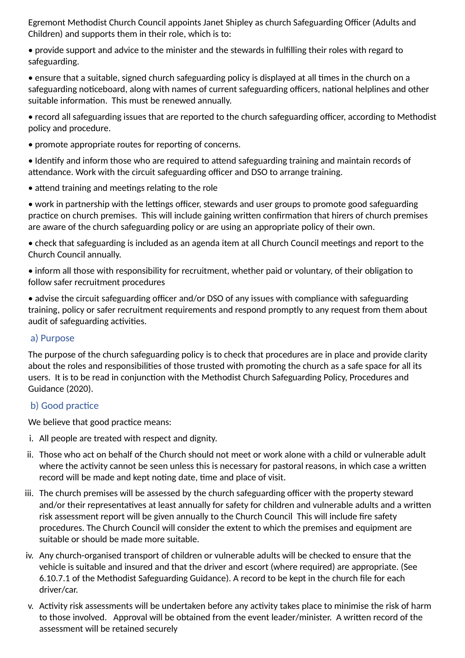Egremont Methodist Church Council appoints Janet Shipley as church Safeguarding Officer (Adults and Children) and supports them in their role, which is to:

• provide support and advice to the minister and the stewards in fulfilling their roles with regard to safeguarding.

• ensure that a suitable, signed church safeguarding policy is displayed at all times in the church on a safeguarding noticeboard, along with names of current safeguarding officers, national helplines and other suitable information. This must be renewed annually.

• record all safeguarding issues that are reported to the church safeguarding officer, according to Methodist policy and procedure.

• promote appropriate routes for reporting of concerns.

• Identify and inform those who are required to attend safeguarding training and maintain records of attendance. Work with the circuit safeguarding officer and DSO to arrange training.

 $\bullet$  attend training and meetings relating to the role

• work in partnership with the lettings officer, stewards and user groups to promote good safeguarding practice on church premises. This will include gaining written confirmation that hirers of church premises are aware of the church safeguarding policy or are using an appropriate policy of their own.

• check that safeguarding is included as an agenda item at all Church Council meetings and report to the Church Council annually.

• inform all those with responsibility for recruitment, whether paid or voluntary, of their obligation to follow safer recruitment procedures

• advise the circuit safeguarding officer and/or DSO of any issues with compliance with safeguarding training, policy or safer recruitment requirements and respond promptly to any request from them about audit of safeguarding activities.

### a) Purpose

The purpose of the church safeguarding policy is to check that procedures are in place and provide clarity about the roles and responsibilities of those trusted with promoting the church as a safe space for all its users. It is to be read in conjunction with the Methodist Church Safeguarding Policy, Procedures and Guidance (2020).

### b) Good practice

We believe that good practice means:

- i. All people are treated with respect and dignity.
- ii. Those who act on behalf of the Church should not meet or work alone with a child or vulnerable adult where the activity cannot be seen unless this is necessary for pastoral reasons, in which case a written record will be made and kept noting date, time and place of visit.
- iii. The church premises will be assessed by the church safeguarding officer with the property steward and/or their representatives at least annually for safety for children and vulnerable adults and a written risk assessment report will be given annually to the Church Council This will include fire safety procedures. The Church Council will consider the extent to which the premises and equipment are suitable or should be made more suitable.
- iv. Any church-organised transport of children or vulnerable adults will be checked to ensure that the vehicle is suitable and insured and that the driver and escort (where required) are appropriate. (See 6.10.7.1 of the Methodist Safeguarding Guidance). A record to be kept in the church file for each driver/car.
- v. Activity risk assessments will be undertaken before any activity takes place to minimise the risk of harm to those involved. Approval will be obtained from the event leader/minister. A written record of the assessment will be retained securely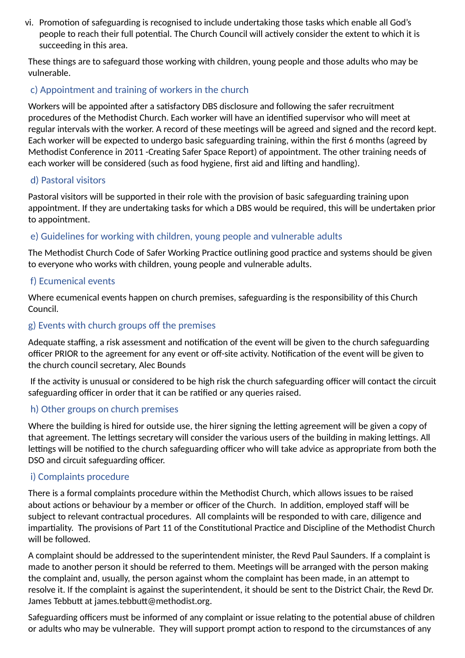vi. Promotion of safeguarding is recognised to include undertaking those tasks which enable all God's people to reach their full potential. The Church Council will actively consider the extent to which it is succeeding in this area.

These things are to safeguard those working with children, young people and those adults who may be vulnerable.

# c) Appointment and training of workers in the church

Workers will be appointed after a satisfactory DBS disclosure and following the safer recruitment procedures of the Methodist Church. Each worker will have an idenfied supervisor who will meet at regular intervals with the worker. A record of these meetings will be agreed and signed and the record kept. Each worker will be expected to undergo basic safeguarding training, within the first 6 months (agreed by Methodist Conference in 2011 -Creating Safer Space Report) of appointment. The other training needs of each worker will be considered (such as food hygiene, first aid and lifting and handling).

### d) Pastoral visitors

Pastoral visitors will be supported in their role with the provision of basic safeguarding training upon appointment. If they are undertaking tasks for which a DBS would be required, this will be undertaken prior to appointment.

## e) Guidelines for working with children, young people and vulnerable adults

The Methodist Church Code of Safer Working Practice outlining good practice and systems should be given to everyone who works with children, young people and vulnerable adults.

### f) Ecumenical events

Where ecumenical events happen on church premises, safeguarding is the responsibility of this Church Council.

## g) Events with church groups off the premises

Adequate staffing, a risk assessment and notification of the event will be given to the church safeguarding officer PRIOR to the agreement for any event or off-site activity. Notification of the event will be given to the church council secretary, Alec Bounds

If the activity is unusual or considered to be high risk the church safeguarding officer will contact the circuit safeguarding officer in order that it can be ratified or any queries raised.

## h) Other groups on church premises

Where the building is hired for outside use, the hirer signing the letting agreement will be given a copy of that agreement. The lettings secretary will consider the various users of the building in making lettings. All lettings will be notified to the church safeguarding officer who will take advice as appropriate from both the DSO and circuit safeguarding officer.

## i) Complaints procedure

There is a formal complaints procedure within the Methodist Church, which allows issues to be raised about actions or behaviour by a member or officer of the Church. In addition, employed staff will be subject to relevant contractual procedures. All complaints will be responded to with care, diligence and impartiality. The provisions of Part 11 of the Constitutional Practice and Discipline of the Methodist Church will be followed.

A complaint should be addressed to the superintendent minister, the Revd Paul Saunders. If a complaint is made to another person it should be referred to them. Meetings will be arranged with the person making the complaint and, usually, the person against whom the complaint has been made, in an attempt to resolve it. If the complaint is against the superintendent, it should be sent to the District Chair, the Revd Dr. James Tebbutt at james.tebbutt@methodist.org.

Safeguarding officers must be informed of any complaint or issue relating to the potential abuse of children or adults who may be vulnerable. They will support prompt action to respond to the circumstances of any